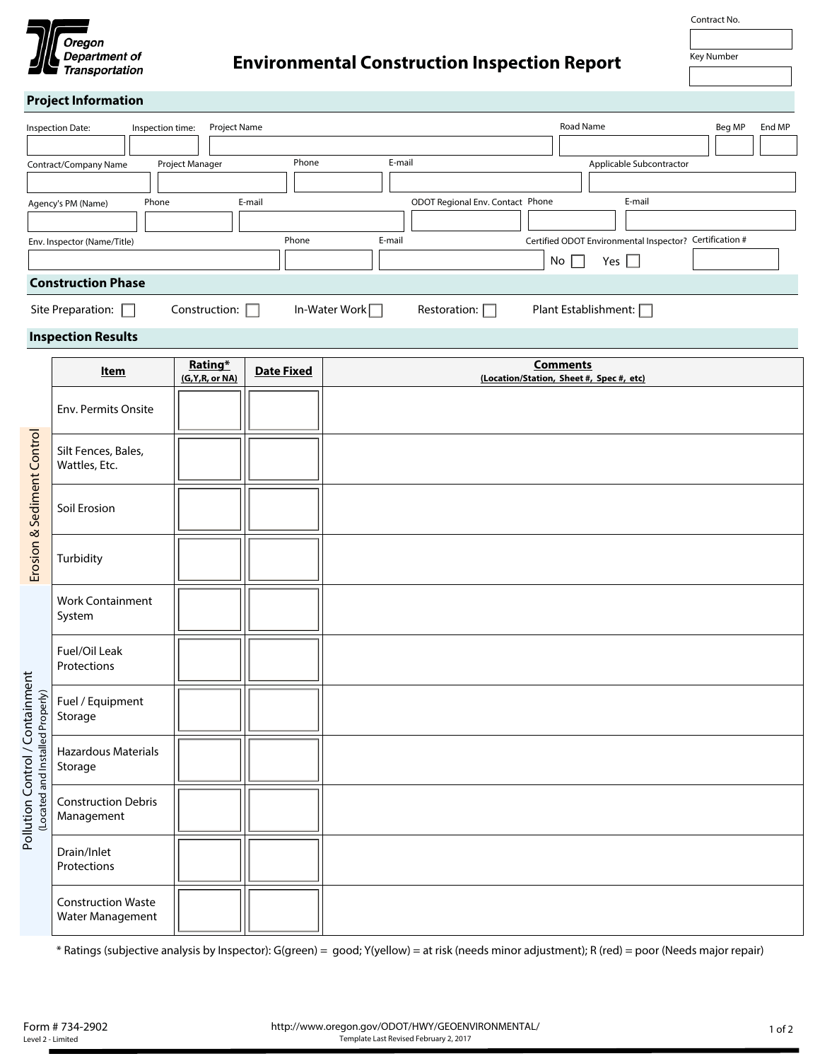

## **Project Information**

| Inspection Date:            | Project Name<br>Inspection time: |                           |                                  | Road Name                               | Beg MP          | End MP |  |
|-----------------------------|----------------------------------|---------------------------|----------------------------------|-----------------------------------------|-----------------|--------|--|
|                             |                                  |                           |                                  |                                         |                 |        |  |
| Contract/Company Name       | Project Manager                  | E-mail<br>Phone           |                                  | Applicable Subcontractor                |                 |        |  |
|                             |                                  |                           |                                  |                                         |                 |        |  |
| Phone<br>Agency's PM (Name) | E-mail                           |                           | ODOT Regional Env. Contact Phone | E-mail                                  |                 |        |  |
|                             |                                  |                           |                                  |                                         |                 |        |  |
| Env. Inspector (Name/Title) |                                  | Phone<br>E-mail           |                                  | Certified ODOT Environmental Inspector? | Certification # |        |  |
|                             |                                  |                           |                                  | No<br>Yes $  \  $                       |                 |        |  |
| <b>Construction Phase</b>   |                                  |                           |                                  |                                         |                 |        |  |
| Site Preparation:           | Construction:                    | In-Water Work <del></del> | Restoration:                     | Plant Establishment: [                  |                 |        |  |

## **Inspection Results**

|                                                                     | Item                                          | Rating*<br>(G, Y, R, or NA) | <b>Date Fixed</b> | <b>Comments</b><br>(Location/Station, Sheet #, Spec #, etc) |
|---------------------------------------------------------------------|-----------------------------------------------|-----------------------------|-------------------|-------------------------------------------------------------|
|                                                                     | Env. Permits Onsite                           |                             |                   |                                                             |
| Erosion & Sediment Control                                          | Silt Fences, Bales,<br>Wattles, Etc.          |                             |                   |                                                             |
|                                                                     | Soil Erosion                                  |                             |                   |                                                             |
|                                                                     | Turbidity                                     |                             |                   |                                                             |
| Pollution Control / Containment<br>(Located and Installed Properly) | <b>Work Containment</b><br>System             |                             |                   |                                                             |
|                                                                     | Fuel/Oil Leak<br>Protections                  |                             |                   |                                                             |
|                                                                     | Fuel / Equipment<br>Storage                   |                             |                   |                                                             |
|                                                                     | Hazardous Materials<br>Storage                |                             |                   |                                                             |
|                                                                     | <b>Construction Debris</b><br>Management      |                             |                   |                                                             |
|                                                                     | Drain/Inlet<br>Protections                    |                             |                   |                                                             |
|                                                                     | <b>Construction Waste</b><br>Water Management |                             |                   |                                                             |

\* Ratings (subjective analysis by Inspector): G(green) = good; Y(yellow) = at risk (needs minor adjustment); R (red) = poor (Needs major repair)